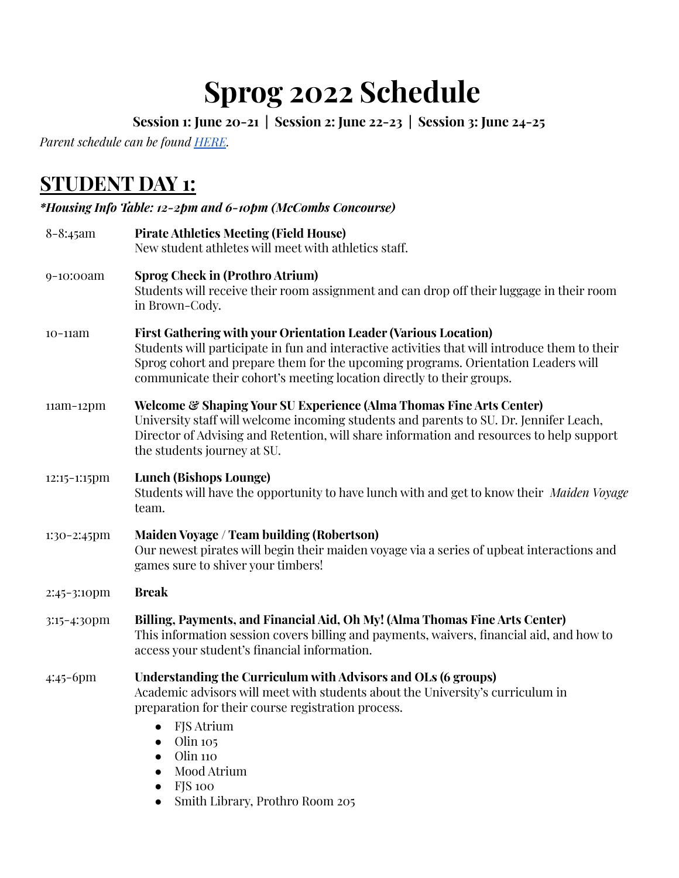# **Sprog 2022 Schedule**

**Session 1: June 20-21 | Session 2: June 22-23 | Session 3: June 24-25**

*Parent schedule can be found [HERE](https://docs.google.com/document/d/1i0SEQR0w7np3HnhhTTmtrYnr9OcFPFvx4A8MF96I-7M/edit).*

## **STUDENT DAY 1:**

### *\*Housing Info Table: 12-2pm and 6-10pm (McCombs Concourse)*

| $8 - 8:45$ am  | <b>Pirate Athletics Meeting (Field House)</b><br>New student athletes will meet with athletics staff.                                                                                                                                                                                                                                   |
|----------------|-----------------------------------------------------------------------------------------------------------------------------------------------------------------------------------------------------------------------------------------------------------------------------------------------------------------------------------------|
| 9-10:00am      | <b>Sprog Check in (Prothro Atrium)</b><br>Students will receive their room assignment and can drop off their luggage in their room<br>in Brown-Cody.                                                                                                                                                                                    |
| $10-11$ am     | First Gathering with your Orientation Leader (Various Location)<br>Students will participate in fun and interactive activities that will introduce them to their<br>Sprog cohort and prepare them for the upcoming programs. Orientation Leaders will<br>communicate their cohort's meeting location directly to their groups.          |
| $11am-12pm$    | <b>Welcome &amp; Shaping Your SU Experience (Alma Thomas Fine Arts Center)</b><br>University staff will welcome incoming students and parents to SU. Dr. Jennifer Leach,<br>Director of Advising and Retention, will share information and resources to help support<br>the students journey at SU.                                     |
| 12:15-1:15pm   | <b>Lunch (Bishops Lounge)</b><br>Students will have the opportunity to have lunch with and get to know their Maiden Voyage<br>team.                                                                                                                                                                                                     |
| $1:30-2:45$ pm | Maiden Voyage / Team building (Robertson)<br>Our newest pirates will begin their maiden voyage via a series of upbeat interactions and<br>games sure to shiver your timbers!                                                                                                                                                            |
| 2:45-3:10pm    | <b>Break</b>                                                                                                                                                                                                                                                                                                                            |
| 3:15-4:30pm    | Billing, Payments, and Financial Aid, Oh My! (Alma Thomas Fine Arts Center)<br>This information session covers billing and payments, waivers, financial aid, and how to<br>access your student's financial information.                                                                                                                 |
| 4:45-6pm       | Understanding the Curriculum with Advisors and OLs (6 groups)<br>Academic advisors will meet with students about the University's curriculum in<br>preparation for their course registration process.<br><b>FJS</b> Atrium<br>$\bullet$<br>Olin 105<br>$\bullet$<br>Olin 110<br>$\bullet$<br>Mood Atrium<br><b>FJS</b> 100<br>$\bullet$ |

● Smith Library, Prothro Room 205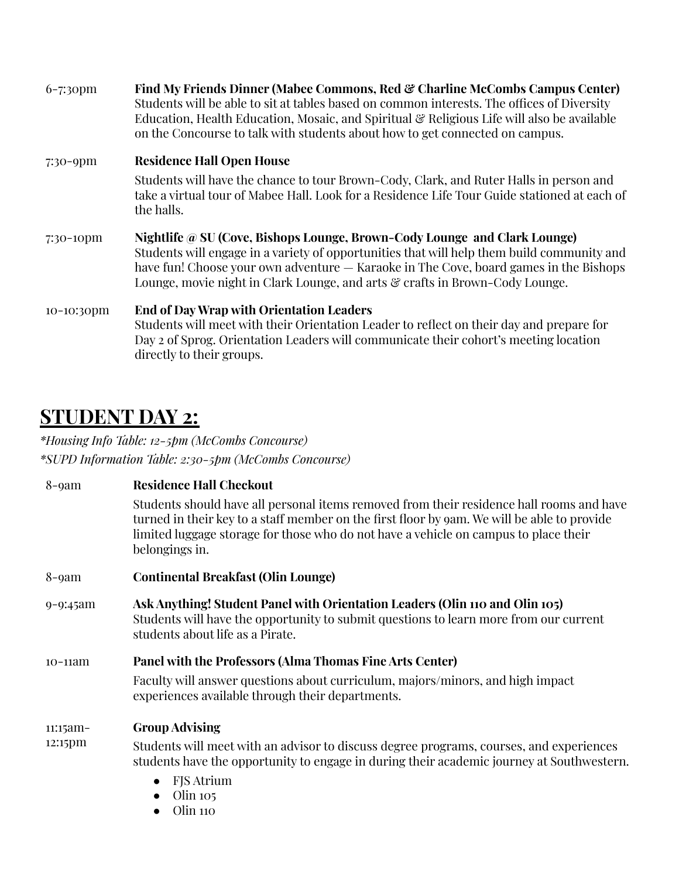| $6 - 7:3$ opm | Find My Friends Dinner (Mabee Commons, Red & Charline McCombs Campus Center)<br>Students will be able to sit at tables based on common interests. The offices of Diversity<br>Education, Health Education, Mosaic, and Spiritual & Religious Life will also be available<br>on the Concourse to talk with students about how to get connected on campus. |
|---------------|----------------------------------------------------------------------------------------------------------------------------------------------------------------------------------------------------------------------------------------------------------------------------------------------------------------------------------------------------------|
| $7:30 - 9$ pm | <b>Residence Hall Open House</b>                                                                                                                                                                                                                                                                                                                         |
|               | Students will have the chance to tour Brown-Cody, Clark, and Ruter Halls in person and<br>take a virtual tour of Mabee Hall. Look for a Residence Life Tour Guide stationed at each of<br>the halls.                                                                                                                                                     |
| 7:30-10pm     | Nightlife @ SU (Cove, Bishops Lounge, Brown-Cody Lounge and Clark Lounge)<br>Students will engage in a variety of opportunities that will help them build community and<br>have fun! Choose your own adventure — Karaoke in The Cove, board games in the Bishops<br>Lounge, movie night in Clark Lounge, and arts & crafts in Brown-Cody Lounge.         |
| $10-10:30$ pm | <b>End of Day Wrap with Orientation Leaders</b><br>Students will meet with their Orientation Leader to reflect on their day and prepare for<br>Day 2 of Sprog. Orientation Leaders will communicate their cohort's meeting location<br>directly to their groups.                                                                                         |

## **STUDENT DAY 2:**

*\*Housing Info Table: 12-5pm (McCombs Concourse) \*SUPD Information Table: 2:30-5pm (McCombs Concourse)*

| $8$ -9 $am$         | <b>Residence Hall Checkout</b>                                                                                                                                                                                                                                                                    |
|---------------------|---------------------------------------------------------------------------------------------------------------------------------------------------------------------------------------------------------------------------------------------------------------------------------------------------|
|                     | Students should have all personal items removed from their residence hall rooms and have<br>turned in their key to a staff member on the first floor by 9am. We will be able to provide<br>limited luggage storage for those who do not have a vehicle on campus to place their<br>belongings in. |
| $8$ -9 $am$         | <b>Continental Breakfast (Olin Lounge)</b>                                                                                                                                                                                                                                                        |
| $9 - 9:45$ am       | Ask Anything! Student Panel with Orientation Leaders (Olin 110 and Olin 105)<br>Students will have the opportunity to submit questions to learn more from our current<br>students about life as a Pirate.                                                                                         |
| $10-11$ am          | Panel with the Professors (Alma Thomas Fine Arts Center)<br>Faculty will answer questions about curriculum, majors/minors, and high impact<br>experiences available through their departments.                                                                                                    |
| 11:15am-<br>12:15pm | <b>Group Advising</b><br>Students will meet with an advisor to discuss degree programs, courses, and experiences<br>students have the opportunity to engage in during their academic journey at Southwestern.                                                                                     |
|                     | <b>FJS</b> Atrium<br>$\bullet$<br>Olin 105<br>Olin 110<br>$\bullet$                                                                                                                                                                                                                               |